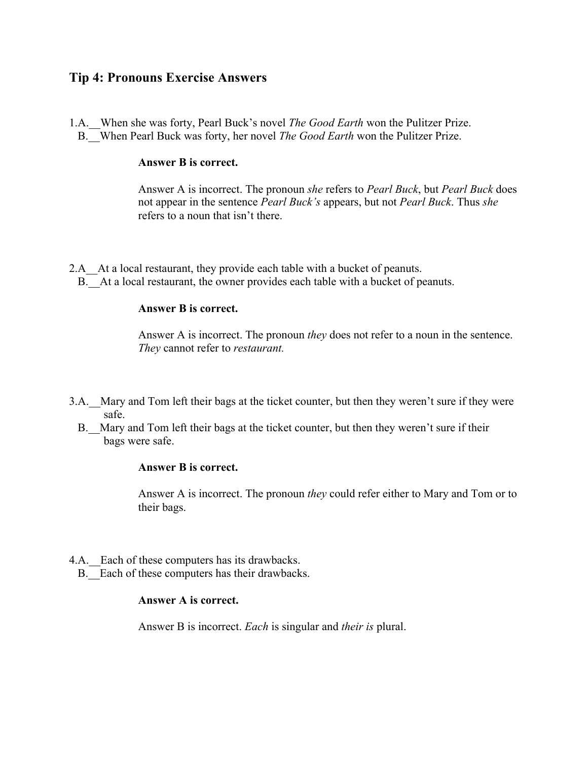# **Tip 4: Pronouns Exercise Answers**

1.A.\_\_When she was forty, Pearl Buck's novel *The Good Earth* won the Pulitzer Prize. B.\_\_When Pearl Buck was forty, her novel *The Good Earth* won the Pulitzer Prize.

#### **Answer B is correct.**

Answer A is incorrect. The pronoun *she* refers to *Pearl Buck*, but *Pearl Buck* does not appear in the sentence *Pearl Buck's* appears, but not *Pearl Buck*. Thus *she*  refers to a noun that isn't there.

2.A At a local restaurant, they provide each table with a bucket of peanuts. B. At a local restaurant, the owner provides each table with a bucket of peanuts.

#### **Answer B is correct.**

Answer A is incorrect. The pronoun *they* does not refer to a noun in the sentence. *They* cannot refer to *restaurant.* 

- 3.A.\_\_Mary and Tom left their bags at the ticket counter, but then they weren't sure if they were safe.
	- B. Mary and Tom left their bags at the ticket counter, but then they weren't sure if their bags were safe.

### **Answer B is correct.**

Answer A is incorrect. The pronoun *they* could refer either to Mary and Tom or to their bags.

- 4.A. Each of these computers has its drawbacks.
	- B. Each of these computers has their drawbacks.

# **Answer A is correct.**

Answer B is incorrect. *Each* is singular and *their is* plural.